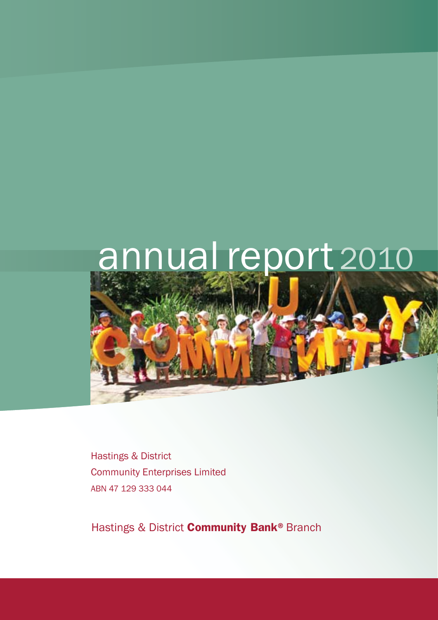# annual report 2010



Hastings & District Community Enterprises Limited ABN 47 129 333 044

Hastings & District **Community Bank®** Branch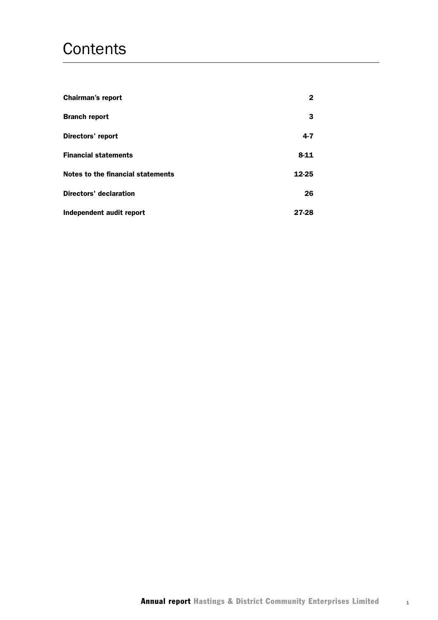# **Contents**

| <b>Chairman's report</b>          | 2        |
|-----------------------------------|----------|
| <b>Branch report</b>              | 3        |
| Directors' report                 | $4 - 7$  |
| <b>Financial statements</b>       | $8 - 11$ |
| Notes to the financial statements | 12-25    |
| <b>Directors' declaration</b>     | 26       |
| Independent audit report          | 27-28    |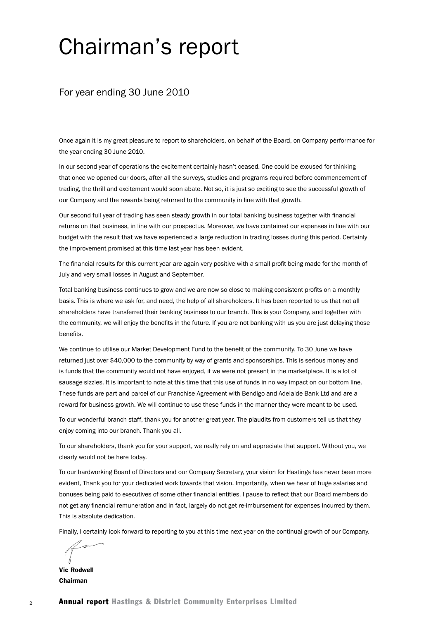# Chairman's report

## For year ending 30 June 2010

Once again it is my great pleasure to report to shareholders, on behalf of the Board, on Company performance for the year ending 30 June 2010.

In our second year of operations the excitement certainly hasn't ceased. One could be excused for thinking that once we opened our doors, after all the surveys, studies and programs required before commencement of trading, the thrill and excitement would soon abate. Not so, it is just so exciting to see the successful growth of our Company and the rewards being returned to the community in line with that growth.

Our second full year of trading has seen steady growth in our total banking business together with financial returns on that business, in line with our prospectus. Moreover, we have contained our expenses in line with our budget with the result that we have experienced a large reduction in trading losses during this period. Certainly the improvement promised at this time last year has been evident.

The financial results for this current year are again very positive with a small profit being made for the month of July and very small losses in August and September.

Total banking business continues to grow and we are now so close to making consistent profits on a monthly basis. This is where we ask for, and need, the help of all shareholders. It has been reported to us that not all shareholders have transferred their banking business to our branch. This is your Company, and together with the community, we will enjoy the benefits in the future. If you are not banking with us you are just delaying those benefits.

We continue to utilise our Market Development Fund to the benefit of the community. To 30 June we have returned just over \$40,000 to the community by way of grants and sponsorships. This is serious money and is funds that the community would not have enjoyed, if we were not present in the marketplace. It is a lot of sausage sizzles. It is important to note at this time that this use of funds in no way impact on our bottom line. These funds are part and parcel of our Franchise Agreement with Bendigo and Adelaide Bank Ltd and are a reward for business growth. We will continue to use these funds in the manner they were meant to be used.

To our wonderful branch staff, thank you for another great year. The plaudits from customers tell us that they enjoy coming into our branch. Thank you all.

To our shareholders, thank you for your support, we really rely on and appreciate that support. Without you, we clearly would not be here today.

To our hardworking Board of Directors and our Company Secretary, your vision for Hastings has never been more evident, Thank you for your dedicated work towards that vision. Importantly, when we hear of huge salaries and bonuses being paid to executives of some other financial entities, I pause to reflect that our Board members do not get any financial remuneration and in fact, largely do not get re-imbursement for expenses incurred by them. This is absolute dedication.

Finally, I certainly look forward to reporting to you at this time next year on the continual growth of our Company.

Vic Rodwell Chairman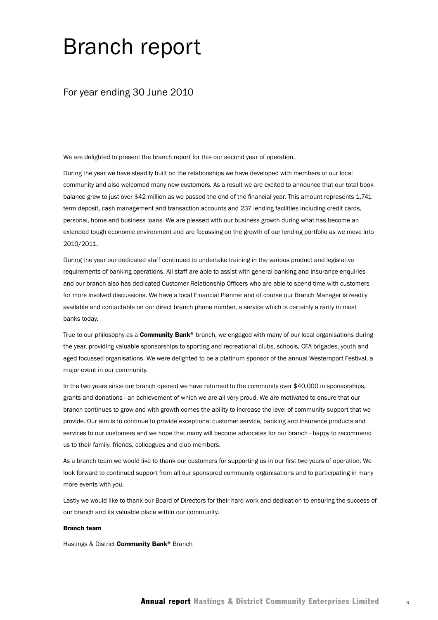# Branch report

## For year ending 30 June 2010

We are delighted to present the branch report for this our second year of operation.

During the year we have steadily built on the relationships we have developed with members of our local community and also welcomed many new customers. As a result we are excited to announce that our total book balance grew to just over \$42 million as we passed the end of the financial year. This amount represents 1,741 term deposit, cash management and transaction accounts and 237 lending facilities including credit cards, personal, home and business loans. We are pleased with our business growth during what has become an extended tough economic environment and are focussing on the growth of our lending portfolio as we move into 2010/2011.

During the year our dedicated staff continued to undertake training in the various product and legislative requirements of banking operations. All staff are able to assist with general banking and insurance enquiries and our branch also has dedicated Customer Relationship Officers who are able to spend time with customers for more involved discussions. We have a local Financial Planner and of course our Branch Manager is readily available and contactable on our direct branch phone number, a service which is certainly a rarity in most banks today.

True to our philosophy as a **Community Bank**<sup>®</sup> branch, we engaged with many of our local organisations during the year, providing valuable sponsorships to sporting and recreational clubs, schools, CFA brigades, youth and aged focussed organisations. We were delighted to be a platinum sponsor of the annual Westernport Festival, a major event in our community.

In the two years since our branch opened we have returned to the community over \$40,000 in sponsorships, grants and donations - an achievement of which we are all very proud. We are motivated to ensure that our branch continues to grow and with growth comes the ability to increase the level of community support that we provide. Our aim is to continue to provide exceptional customer service, banking and insurance products and services to our customers and we hope that many will become advocates for our branch - happy to recommend us to their family, friends, colleagues and club members.

As a branch team we would like to thank our customers for supporting us in our first two years of operation. We look forward to continued support from all our sponsored community organisations and to participating in many more events with you.

Lastly we would like to thank our Board of Directors for their hard work and dedication to ensuring the success of our branch and its valuable place within our community.

#### Branch team

Hastings & District Community Bank® Branch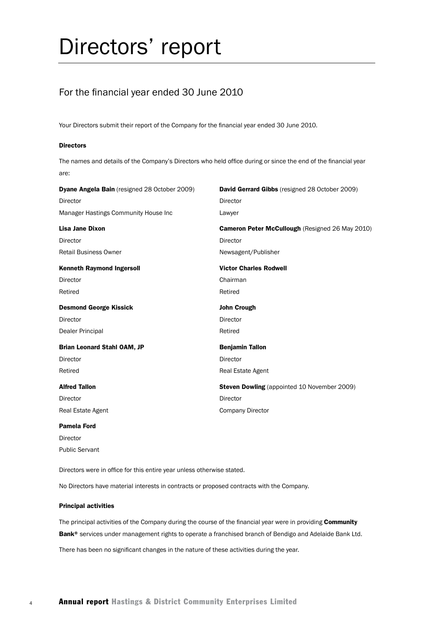# Directors' report

## For the financial year ended 30 June 2010

Your Directors submit their report of the Company for the financial year ended 30 June 2010.

#### **Directors**

The names and details of the Company's Directors who held office during or since the end of the financial year are:

| <b>Dyane Angela Bain</b> (resigned 28 October 2009) | <b>David Gerrard Gibbs</b> (resigned 28 October 2009) |
|-----------------------------------------------------|-------------------------------------------------------|
| <b>Director</b>                                     | Director                                              |
| Manager Hastings Community House Inc                | Lawyer                                                |
| Lisa Jane Dixon                                     | Cameron Peter McCullough (Resigned 26 May 2010)       |
| Director                                            | <b>Director</b>                                       |
| <b>Retail Business Owner</b>                        | Newsagent/Publisher                                   |
| <b>Kenneth Raymond Ingersoll</b>                    | <b>Victor Charles Rodwell</b>                         |
| Director                                            | Chairman                                              |
| Retired                                             | Retired                                               |
| <b>Desmond George Kissick</b>                       | <b>John Crough</b>                                    |
| Director                                            | Director                                              |
| Dealer Principal                                    | Retired                                               |
| <b>Brian Leonard Stahl OAM, JP</b>                  | <b>Benjamin Tallon</b>                                |
| <b>Director</b>                                     | Director                                              |
| Retired                                             | <b>Real Estate Agent</b>                              |
| <b>Alfred Tallon</b>                                | <b>Steven Dowling</b> (appointed 10 November 2009)    |
| <b>Director</b>                                     | Director                                              |
| <b>Real Estate Agent</b>                            | <b>Company Director</b>                               |
|                                                     |                                                       |

#### Pamela Ford

Director Public Servant

Directors were in office for this entire year unless otherwise stated.

No Directors have material interests in contracts or proposed contracts with the Company.

#### Principal activities

The principal activities of the Company during the course of the financial year were in providing Community Bank<sup>®</sup> services under management rights to operate a franchised branch of Bendigo and Adelaide Bank Ltd.

There has been no significant changes in the nature of these activities during the year.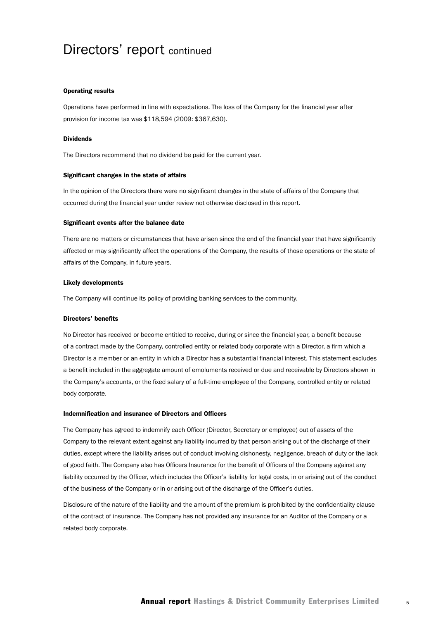#### Operating results

Operations have performed in line with expectations. The loss of the Company for the financial year after provision for income tax was \$118,594 (2009: \$367,630).

#### Dividends

The Directors recommend that no dividend be paid for the current year.

#### Significant changes in the state of affairs

In the opinion of the Directors there were no significant changes in the state of affairs of the Company that occurred during the financial year under review not otherwise disclosed in this report.

#### Significant events after the balance date

There are no matters or circumstances that have arisen since the end of the financial year that have significantly affected or may significantly affect the operations of the Company, the results of those operations or the state of affairs of the Company, in future years.

#### Likely developments

The Company will continue its policy of providing banking services to the community.

#### Directors' benefits

No Director has received or become entitled to receive, during or since the financial year, a benefit because of a contract made by the Company, controlled entity or related body corporate with a Director, a firm which a Director is a member or an entity in which a Director has a substantial financial interest. This statement excludes a benefit included in the aggregate amount of emoluments received or due and receivable by Directors shown in the Company's accounts, or the fixed salary of a full-time employee of the Company, controlled entity or related body corporate.

#### Indemnification and insurance of Directors and Officers

The Company has agreed to indemnify each Officer (Director, Secretary or employee) out of assets of the Company to the relevant extent against any liability incurred by that person arising out of the discharge of their duties, except where the liability arises out of conduct involving dishonesty, negligence, breach of duty or the lack of good faith. The Company also has Officers Insurance for the benefit of Officers of the Company against any liability occurred by the Officer, which includes the Officer's liability for legal costs, in or arising out of the conduct of the business of the Company or in or arising out of the discharge of the Officer's duties.

Disclosure of the nature of the liability and the amount of the premium is prohibited by the confidentiality clause of the contract of insurance. The Company has not provided any insurance for an Auditor of the Company or a related body corporate.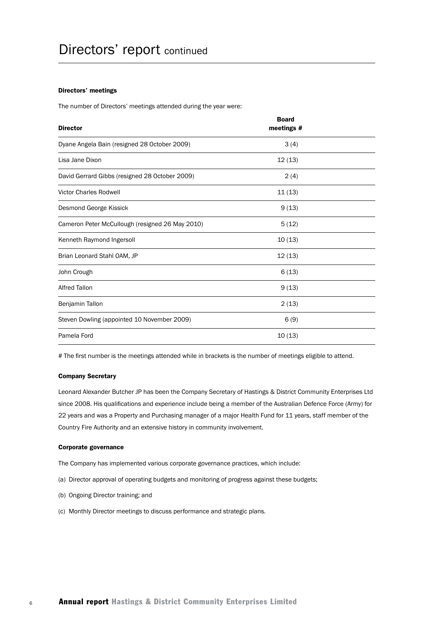#### Directors' meetings

The number of Directors' meetings attended during the year were:

| <b>Director</b>                                 | <b>Board</b><br>meetings # |  |
|-------------------------------------------------|----------------------------|--|
| Dyane Angela Bain (resigned 28 October 2009)    | 3(4)                       |  |
| Lisa Jane Dixon                                 | 12(13)                     |  |
| David Gerrard Gibbs (resigned 28 October 2009)  | 2(4)                       |  |
| <b>Victor Charles Rodwell</b>                   | 11(13)                     |  |
| Desmond George Kissick                          | 9(13)                      |  |
| Cameron Peter McCullough (resigned 26 May 2010) | 5(12)                      |  |
| Kenneth Raymond Ingersoll                       | 10(13)                     |  |
| Brian Leonard Stahl OAM, JP                     | 12(13)                     |  |
| John Crough                                     | 6(13)                      |  |
| <b>Alfred Tallon</b>                            | 9(13)                      |  |
| Benjamin Tallon                                 | 2(13)                      |  |
| Steven Dowling (appointed 10 November 2009)     | 6(9)                       |  |
| Pamela Ford                                     | 10(13)                     |  |

# The first number is the meetings attended while in brackets is the number of meetings eligible to attend.

#### Company Secretary

Leonard Alexander Butcher JP has been the Company Secretary of Hastings & District Community Enterprises Ltd since 2008. His qualifications and experience include being a member of the Australian Defence Force (Army) for 22 years and was a Property and Purchasing manager of a major Health Fund for 11 years, staff member of the Country Fire Authority and an extensive history in community involvement.

#### Corporate governance

The Company has implemented various corporate governance practices, which include:

- (a) Director approval of operating budgets and monitoring of progress against these budgets;
- (b) Ongoing Director training; and
- (c) Monthly Director meetings to discuss performance and strategic plans.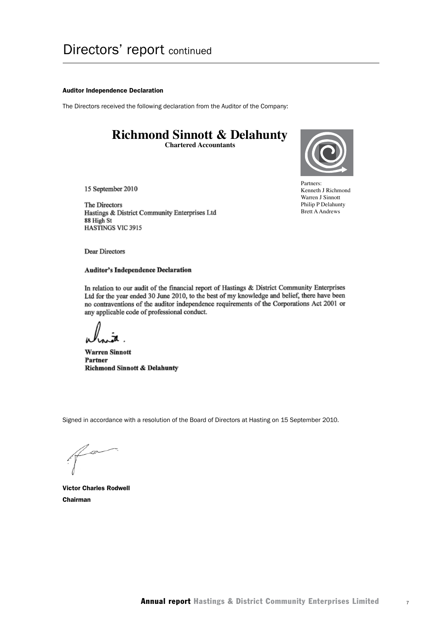#### Auditor Independence Declaration

The Directors received the following declaration from the Auditor of the Company:

# **Richmond Sinnott & Delahunty**

**Chartered Accountants**



Partners: Partners:<br>Kenneth J Richmond Warren J Sinnott Philip P Delahunty Brett A Andrews

15 September 2010

The Directors Hastings & District Community Enterprises Ltd 88 High St HASTINGS VIC 3915

Dear Directors

#### **Auditor's Independence Declaration**

In relation to our audit of the financial report of Hastings & District Community Enterprises Ltd for the year ended 30 June 2010, to the best of my knowledge and belief, there have been no contraventions of the auditor independence requirements of the Corporations Act 2001 or any applicable code of professional conduct.

**Warren Sinnott** Partner **Richmond Sinnott & Delahunty** 

Signed in accordance with a resolution of the Board of Directors at Hasting on 15 September 2010.

Victor Charles Rodwell Chairman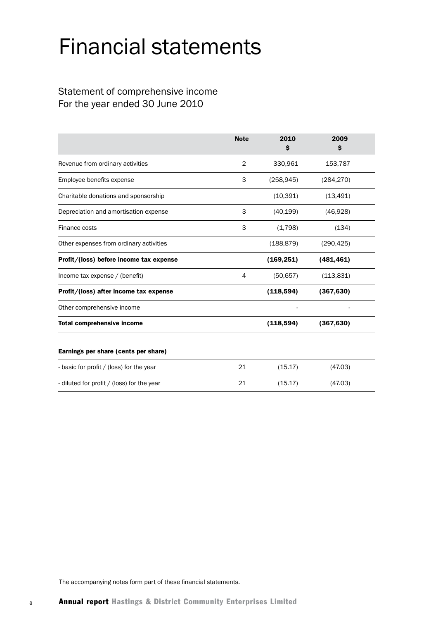# Financial statements

# Statement of comprehensive income For the year ended 30 June 2010

|                                            | <b>Note</b>    | 2010<br>\$ | 2009<br>\$ |
|--------------------------------------------|----------------|------------|------------|
| Revenue from ordinary activities           | $\overline{2}$ | 330,961    | 153,787    |
| Employee benefits expense                  | 3              | (258, 945) | (284, 270) |
| Charitable donations and sponsorship       |                | (10, 391)  | (13, 491)  |
| Depreciation and amortisation expense      | 3              | (40, 199)  | (46,928)   |
| Finance costs                              | 3              | (1,798)    | (134)      |
| Other expenses from ordinary activities    |                | (188, 879) | (290, 425) |
| Profit/(loss) before income tax expense    |                | (169, 251) | (481, 461) |
| Income tax expense / (benefit)             | 4              | (50, 657)  | (113, 831) |
| Profit/(loss) after income tax expense     |                | (118, 594) | (367, 630) |
| Other comprehensive income                 |                |            |            |
| <b>Total comprehensive income</b>          |                | (118, 594) | (367, 630) |
| Earnings per share (cents per share)       |                |            |            |
| - basic for profit / (loss) for the year   | 21             | (15.17)    | (47.03)    |
| - diluted for profit / (loss) for the year | 21             | (15.17)    | (47.03)    |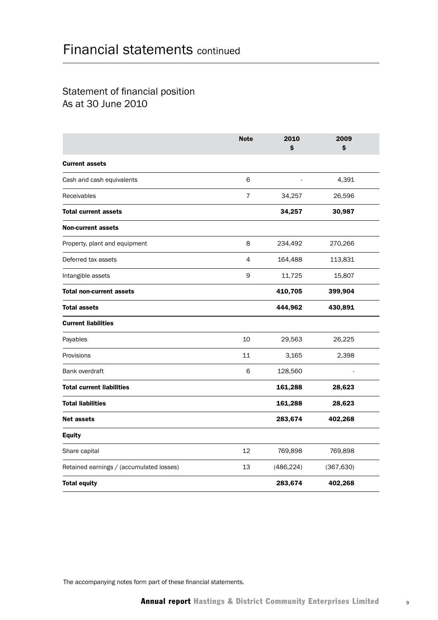# Statement of financial position As at 30 June 2010

|                                          | <b>Note</b> | 2010<br>\$ | 2009<br>\$ |  |
|------------------------------------------|-------------|------------|------------|--|
| <b>Current assets</b>                    |             |            |            |  |
| Cash and cash equivalents                | 6           |            | 4,391      |  |
| Receivables                              | 7           | 34,257     | 26,596     |  |
| <b>Total current assets</b>              |             | 34,257     | 30,987     |  |
| <b>Non-current assets</b>                |             |            |            |  |
| Property, plant and equipment            | 8           | 234,492    | 270,266    |  |
| Deferred tax assets                      | 4           | 164,488    | 113,831    |  |
| Intangible assets                        | 9           | 11,725     | 15,807     |  |
| <b>Total non-current assets</b>          |             | 410,705    | 399,904    |  |
| <b>Total assets</b>                      |             | 444,962    | 430,891    |  |
| <b>Current liabilities</b>               |             |            |            |  |
| Payables                                 | 10          | 29,563     | 26,225     |  |
| Provisions                               | 11          | 3,165      | 2,398      |  |
| Bank overdraft                           | 6           | 128,560    |            |  |
| <b>Total current liabilities</b>         |             | 161,288    | 28,623     |  |
| <b>Total liabilities</b>                 |             | 161,288    | 28,623     |  |
| <b>Net assets</b>                        |             | 283,674    | 402,268    |  |
| <b>Equity</b>                            |             |            |            |  |
| Share capital                            | 12          | 769,898    | 769,898    |  |
| Retained earnings / (accumulated losses) | 13          | (486, 224) | (367, 630) |  |
| <b>Total equity</b>                      |             | 283,674    | 402,268    |  |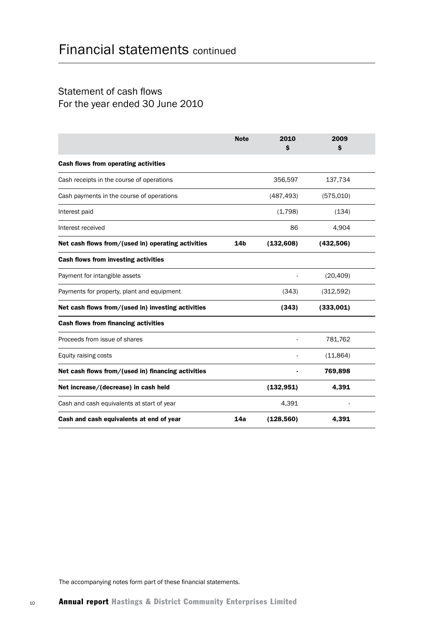## Statement of cash flows For the year ended 30 June 2010

|                                                    | <b>Note</b>     | 2010<br>\$ | 2009<br>\$ |  |
|----------------------------------------------------|-----------------|------------|------------|--|
| <b>Cash flows from operating activities</b>        |                 |            |            |  |
| Cash receipts in the course of operations          |                 | 356,597    | 137,734    |  |
| Cash payments in the course of operations          |                 | (487, 493) | (575,010)  |  |
| Interest paid                                      |                 | (1,798)    | (134)      |  |
| Interest received                                  |                 | 86         | 4,904      |  |
| Net cash flows from/(used in) operating activities | 14 <sub>b</sub> | (132, 608) | (432, 506) |  |
| <b>Cash flows from investing activities</b>        |                 |            |            |  |
| Payment for intangible assets                      |                 |            | (20, 409)  |  |
| Payments for property, plant and equipment         |                 | (343)      | (312,592)  |  |
| Net cash flows from/(used in) investing activities |                 | (343)      | (333,001)  |  |
| <b>Cash flows from financing activities</b>        |                 |            |            |  |
| Proceeds from issue of shares                      |                 |            | 781,762    |  |
| Equity raising costs                               |                 |            | (11, 864)  |  |
| Net cash flows from/(used in) financing activities |                 |            | 769,898    |  |
| Net increase/(decrease) in cash held               |                 | (132, 951) | 4,391      |  |
| Cash and cash equivalents at start of year         |                 | 4,391      |            |  |
| Cash and cash equivalents at end of year           | 14a             | (128, 560) | 4,391      |  |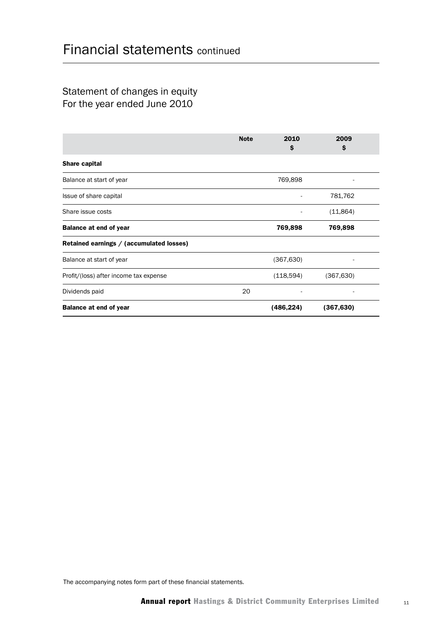## Statement of changes in equity For the year ended June 2010

|                                          | <b>Note</b> | 2010<br>\$ | 2009<br>\$ |  |
|------------------------------------------|-------------|------------|------------|--|
| Share capital                            |             |            |            |  |
| Balance at start of year                 |             | 769,898    |            |  |
| Issue of share capital                   |             |            | 781,762    |  |
| Share issue costs                        |             |            | (11, 864)  |  |
| <b>Balance at end of year</b>            |             | 769,898    | 769,898    |  |
| Retained earnings / (accumulated losses) |             |            |            |  |
| Balance at start of year                 |             | (367, 630) |            |  |
| Profit/(loss) after income tax expense   |             | (118,594)  | (367, 630) |  |
| Dividends paid                           | 20          |            |            |  |
| <b>Balance at end of year</b>            |             | (486,224)  | (367, 630) |  |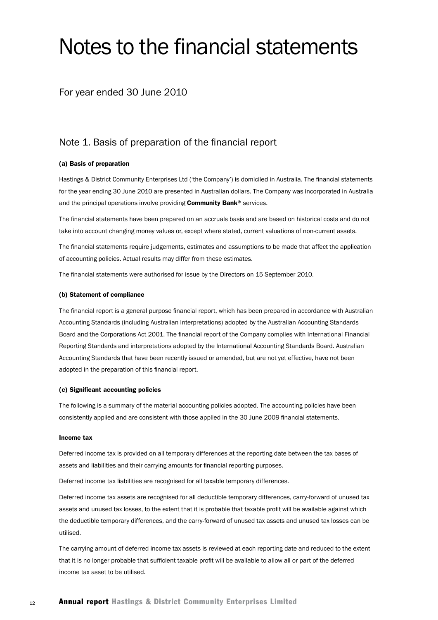# Notes to the financial statements

### For year ended 30 June 2010

## Note 1. Basis of preparation of the financial report

#### (a) Basis of preparation

Hastings & District Community Enterprises Ltd ('the Company') is domiciled in Australia. The financial statements for the year ending 30 June 2010 are presented in Australian dollars. The Company was incorporated in Australia and the principal operations involve providing Community Bank® services.

The financial statements have been prepared on an accruals basis and are based on historical costs and do not take into account changing money values or, except where stated, current valuations of non-current assets.

The financial statements require judgements, estimates and assumptions to be made that affect the application of accounting policies. Actual results may differ from these estimates.

The financial statements were authorised for issue by the Directors on 15 September 2010.

#### (b) Statement of compliance

The financial report is a general purpose financial report, which has been prepared in accordance with Australian Accounting Standards (including Australian Interpretations) adopted by the Australian Accounting Standards Board and the Corporations Act 2001. The financial report of the Company complies with International Financial Reporting Standards and interpretations adopted by the International Accounting Standards Board. Australian Accounting Standards that have been recently issued or amended, but are not yet effective, have not been adopted in the preparation of this financial report.

#### (c) Significant accounting policies

The following is a summary of the material accounting policies adopted. The accounting policies have been consistently applied and are consistent with those applied in the 30 June 2009 financial statements.

#### Income tax

Deferred income tax is provided on all temporary differences at the reporting date between the tax bases of assets and liabilities and their carrying amounts for financial reporting purposes.

Deferred income tax liabilities are recognised for all taxable temporary differences.

Deferred income tax assets are recognised for all deductible temporary differences, carry-forward of unused tax assets and unused tax losses, to the extent that it is probable that taxable profit will be available against which the deductible temporary differences, and the carry-forward of unused tax assets and unused tax losses can be utilised.

The carrying amount of deferred income tax assets is reviewed at each reporting date and reduced to the extent that it is no longer probable that sufficient taxable profit will be available to allow all or part of the deferred income tax asset to be utilised.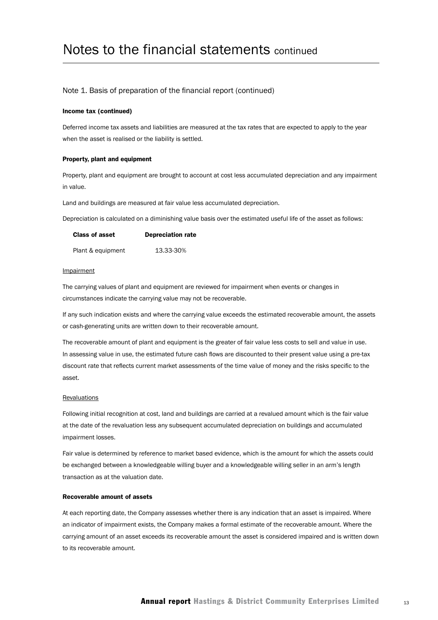#### Note 1. Basis of preparation of the financial report (continued)

#### Income tax (continued)

Deferred income tax assets and liabilities are measured at the tax rates that are expected to apply to the year when the asset is realised or the liability is settled.

#### Property, plant and equipment

Property, plant and equipment are brought to account at cost less accumulated depreciation and any impairment in value.

Land and buildings are measured at fair value less accumulated depreciation.

Depreciation is calculated on a diminishing value basis over the estimated useful life of the asset as follows:

| <b>Class of asset</b> | <b>Depreciation rate</b> |
|-----------------------|--------------------------|
| Plant & equipment     | 13.33-30%                |

#### Impairment

The carrying values of plant and equipment are reviewed for impairment when events or changes in circumstances indicate the carrying value may not be recoverable.

If any such indication exists and where the carrying value exceeds the estimated recoverable amount, the assets or cash-generating units are written down to their recoverable amount.

The recoverable amount of plant and equipment is the greater of fair value less costs to sell and value in use. In assessing value in use, the estimated future cash flows are discounted to their present value using a pre-tax discount rate that reflects current market assessments of the time value of money and the risks specific to the asset.

#### **Revaluations**

Following initial recognition at cost, land and buildings are carried at a revalued amount which is the fair value at the date of the revaluation less any subsequent accumulated depreciation on buildings and accumulated impairment losses.

Fair value is determined by reference to market based evidence, which is the amount for which the assets could be exchanged between a knowledgeable willing buyer and a knowledgeable willing seller in an arm's length transaction as at the valuation date.

#### Recoverable amount of assets

At each reporting date, the Company assesses whether there is any indication that an asset is impaired. Where an indicator of impairment exists, the Company makes a formal estimate of the recoverable amount. Where the carrying amount of an asset exceeds its recoverable amount the asset is considered impaired and is written down to its recoverable amount.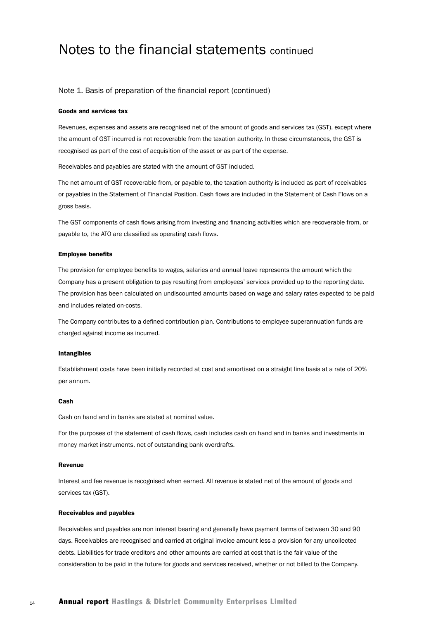#### Note 1. Basis of preparation of the financial report (continued)

#### Goods and services tax

Revenues, expenses and assets are recognised net of the amount of goods and services tax (GST), except where the amount of GST incurred is not recoverable from the taxation authority. In these circumstances, the GST is recognised as part of the cost of acquisition of the asset or as part of the expense.

Receivables and payables are stated with the amount of GST included.

The net amount of GST recoverable from, or payable to, the taxation authority is included as part of receivables or payables in the Statement of Financial Position. Cash flows are included in the Statement of Cash Flows on a gross basis.

The GST components of cash flows arising from investing and financing activities which are recoverable from, or payable to, the ATO are classified as operating cash flows.

#### Employee benefits

The provision for employee benefits to wages, salaries and annual leave represents the amount which the Company has a present obligation to pay resulting from employees' services provided up to the reporting date. The provision has been calculated on undiscounted amounts based on wage and salary rates expected to be paid and includes related on-costs.

The Company contributes to a defined contribution plan. Contributions to employee superannuation funds are charged against income as incurred.

#### Intangibles

Establishment costs have been initially recorded at cost and amortised on a straight line basis at a rate of 20% per annum.

#### Cash

Cash on hand and in banks are stated at nominal value.

For the purposes of the statement of cash flows, cash includes cash on hand and in banks and investments in money market instruments, net of outstanding bank overdrafts.

#### Revenue

Interest and fee revenue is recognised when earned. All revenue is stated net of the amount of goods and services tax (GST).

#### Receivables and payables

Receivables and payables are non interest bearing and generally have payment terms of between 30 and 90 days. Receivables are recognised and carried at original invoice amount less a provision for any uncollected debts. Liabilities for trade creditors and other amounts are carried at cost that is the fair value of the consideration to be paid in the future for goods and services received, whether or not billed to the Company.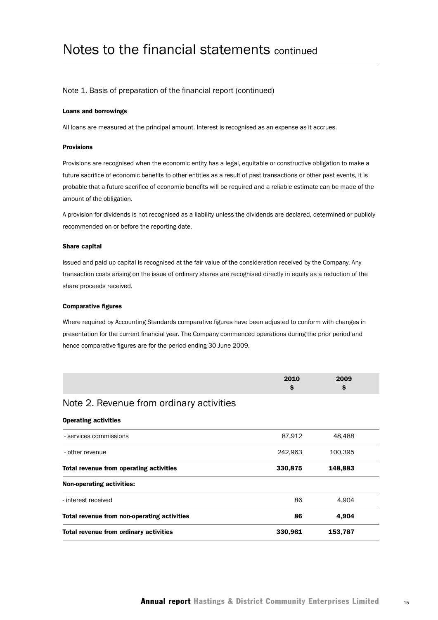#### Note 1. Basis of preparation of the financial report (continued)

#### Loans and borrowings

All loans are measured at the principal amount. Interest is recognised as an expense as it accrues.

#### Provisions

Provisions are recognised when the economic entity has a legal, equitable or constructive obligation to make a future sacrifice of economic benefits to other entities as a result of past transactions or other past events, it is probable that a future sacrifice of economic benefits will be required and a reliable estimate can be made of the amount of the obligation.

A provision for dividends is not recognised as a liability unless the dividends are declared, determined or publicly recommended on or before the reporting date.

#### Share capital

Issued and paid up capital is recognised at the fair value of the consideration received by the Company. Any transaction costs arising on the issue of ordinary shares are recognised directly in equity as a reduction of the share proceeds received.

#### Comparative figures

Where required by Accounting Standards comparative figures have been adjusted to conform with changes in presentation for the current financial year. The Company commenced operations during the prior period and hence comparative figures are for the period ending 30 June 2009.

| 0010 | 2009 |  |
|------|------|--|
|      |      |  |

### Note 2. Revenue from ordinary activities

#### Operating activities

| Total revenue from ordinary activities      | 330,961 | 153,787 |  |
|---------------------------------------------|---------|---------|--|
| Total revenue from non-operating activities | 86      | 4.904   |  |
| - interest received                         | 86      | 4.904   |  |
| <b>Non-operating activities:</b>            |         |         |  |
| Total revenue from operating activities     | 330,875 | 148,883 |  |
| - other revenue                             | 242.963 | 100,395 |  |
| - services commissions                      | 87,912  | 48,488  |  |
|                                             |         |         |  |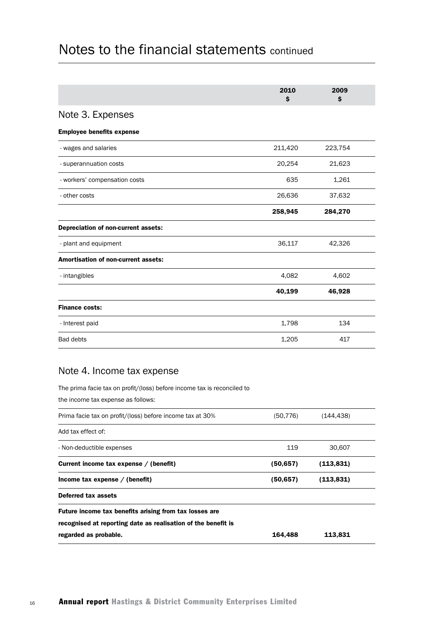|                                            | 2010<br>\$ | 2009<br>\$ |  |
|--------------------------------------------|------------|------------|--|
| Note 3. Expenses                           |            |            |  |
| <b>Employee benefits expense</b>           |            |            |  |
| - wages and salaries                       | 211,420    | 223,754    |  |
| - superannuation costs                     | 20,254     | 21,623     |  |
| - workers' compensation costs              | 635        | 1,261      |  |
| - other costs                              | 26,636     | 37,632     |  |
|                                            | 258,945    | 284,270    |  |
| Depreciation of non-current assets:        |            |            |  |
| - plant and equipment                      | 36,117     | 42,326     |  |
| <b>Amortisation of non-current assets:</b> |            |            |  |
| - intangibles                              | 4,082      | 4,602      |  |
|                                            | 40,199     | 46,928     |  |
| <b>Finance costs:</b>                      |            |            |  |
| - Interest paid                            | 1,798      | 134        |  |
| <b>Bad debts</b>                           | 1,205      | 417        |  |

## Note 4. Income tax expense

The prima facie tax on profit/(loss) before income tax is reconciled to

the income tax expense as follows:

| Prima facie tax on profit/(loss) before income tax at 30%     | (50,776) | (144,438)  |  |
|---------------------------------------------------------------|----------|------------|--|
| Add tax effect of:                                            |          |            |  |
| - Non-deductible expenses                                     | 119      | 30.607     |  |
| Current income tax expense / (benefit)                        | (50,657) | (113, 831) |  |
| Income tax expense $/$ (benefit)                              | (50,657) | (113,831)  |  |
| Deferred tax assets                                           |          |            |  |
| Future income tax benefits arising from tax losses are        |          |            |  |
| recognised at reporting date as realisation of the benefit is |          |            |  |
| regarded as probable.                                         | 164,488  | 113,831    |  |
|                                                               |          |            |  |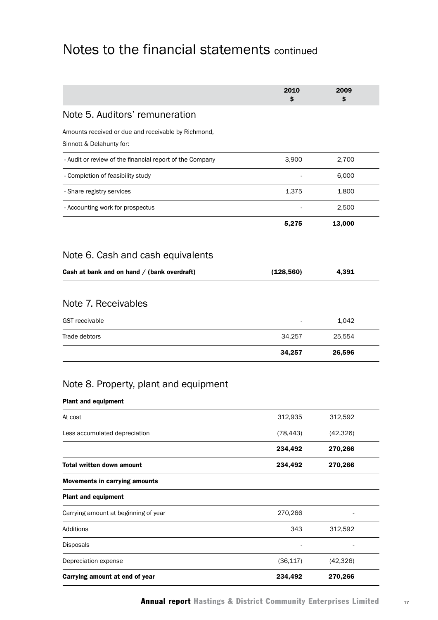|                                                                                 | 2010<br>\$ | 2009<br>\$ |  |
|---------------------------------------------------------------------------------|------------|------------|--|
| Note 5. Auditors' remuneration                                                  |            |            |  |
| Amounts received or due and receivable by Richmond,<br>Sinnott & Delahunty for: |            |            |  |
| - Audit or review of the financial report of the Company                        | 3,900      | 2,700      |  |
| - Completion of feasibility study                                               |            | 6,000      |  |
| - Share registry services                                                       | 1,375      | 1,800      |  |
| - Accounting work for prospectus                                                |            | 2,500      |  |
|                                                                                 | 5,275      | 13,000     |  |
| Note 6. Cash and cash equivalents                                               |            |            |  |
| Cash at bank and on hand / (bank overdraft)                                     | (128, 560) | 4,391      |  |
|                                                                                 |            |            |  |
| Note 7. Receivables                                                             |            |            |  |
| <b>GST</b> receivable                                                           |            | 1,042      |  |
| Trade debtors                                                                   | 34,257     | 25,554     |  |
|                                                                                 | 34,257     | 26,596     |  |
| Note 8. Property, plant and equipment<br><b>Plant and equipment</b>             |            |            |  |
| At cost                                                                         | 312,935    | 312,592    |  |
| Less accumulated depreciation                                                   | (78, 443)  | (42, 326)  |  |
|                                                                                 | 234,492    | 270,266    |  |
| <b>Total written down amount</b>                                                | 234,492    | 270,266    |  |
| <b>Movements in carrying amounts</b>                                            |            |            |  |
| <b>Plant and equipment</b>                                                      |            |            |  |
| Carrying amount at beginning of year                                            | 270,266    |            |  |
| Additions                                                                       | 343        | 312,592    |  |
| Disposals                                                                       |            |            |  |
| Depreciation expense                                                            | (36, 117)  | (42, 326)  |  |
| Carrying amount at end of year                                                  | 234,492    | 270,266    |  |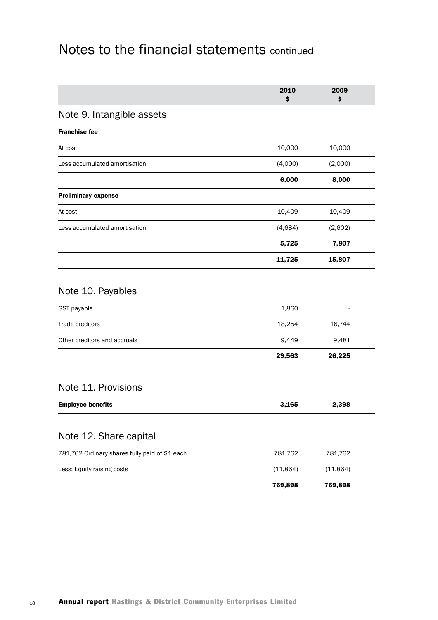|                                                     | 2010<br>\$      | 2009<br>\$ |  |
|-----------------------------------------------------|-----------------|------------|--|
| Note 9. Intangible assets                           |                 |            |  |
| <b>Franchise fee</b>                                |                 |            |  |
| At cost                                             | 10,000          | 10,000     |  |
| Less accumulated amortisation                       | (4,000)         | (2,000)    |  |
|                                                     | 6,000           | 8,000      |  |
| <b>Preliminary expense</b>                          |                 |            |  |
| At cost                                             | 10,409          | 10,409     |  |
| Less accumulated amortisation                       | (4,684)         | (2,602)    |  |
|                                                     | 5,725           | 7,807      |  |
|                                                     | 11,725          | 15,807     |  |
| Note 10. Payables<br>GST payable<br>Trade creditors | 1,860<br>18,254 | 16,744     |  |
| Other creditors and accruals                        | 9,449           | 9,481      |  |
|                                                     | 29,563          | 26,225     |  |
| Note 11. Provisions                                 |                 |            |  |
| <b>Employee benefits</b>                            | 3,165           | 2,398      |  |
| Note 12. Share capital                              |                 |            |  |
| 781,762 Ordinary shares fully paid of \$1 each      | 781,762         | 781,762    |  |
| Less: Equity raising costs                          | (11, 864)       | (11, 864)  |  |
|                                                     | 769,898         | 769,898    |  |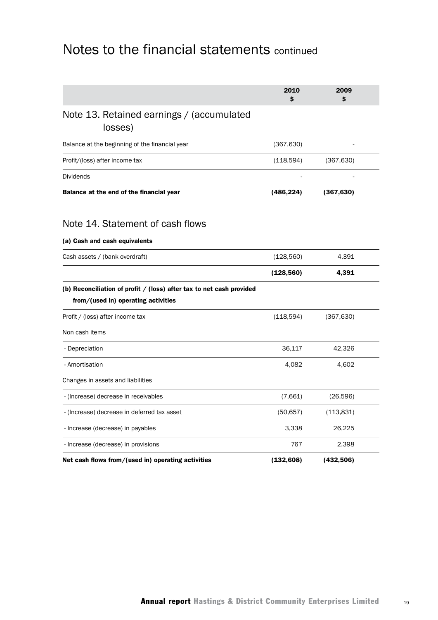|                                                                                                               | 2010<br>Ś  | 2009<br>S  |  |
|---------------------------------------------------------------------------------------------------------------|------------|------------|--|
| Note 13. Retained earnings / (accumulated<br>losses)                                                          |            |            |  |
| Balance at the beginning of the financial year                                                                | (367, 630) |            |  |
| Profit/(loss) after income tax                                                                                | (118,594)  | (367, 630) |  |
| <b>Dividends</b>                                                                                              |            |            |  |
| Balance at the end of the financial year                                                                      | (486, 224) | (367, 630) |  |
| Note 14. Statement of cash flows                                                                              |            |            |  |
| (a) Cash and cash equivalents                                                                                 |            |            |  |
| Cash assets / (bank overdraft)                                                                                | (128, 560) | 4,391      |  |
|                                                                                                               | (128, 560) | 4,391      |  |
| (b) Reconciliation of profit $/$ (loss) after tax to net cash provided<br>from/(used in) operating activities |            |            |  |
| Profit / (loss) after income tax                                                                              | (118,594)  | (367, 630) |  |
| Non cash items                                                                                                |            |            |  |
| - Depreciation                                                                                                | 36,117     | 42,326     |  |
| - Amortisation                                                                                                | 4.082      | 4,602      |  |
| Changes in assets and liabilities                                                                             |            |            |  |
| - (Increase) decrease in receivables                                                                          | (7,661)    | (26,596)   |  |
| - (Increase) decrease in deferred tax asset                                                                   | (50, 657)  | (113, 831) |  |
| - Increase (decrease) in payables                                                                             | 3,338      | 26,225     |  |
| - Increase (decrease) in provisions                                                                           | 767        | 2,398      |  |
| Net cash flows from/(used in) operating activities                                                            | (132, 608) | (432,506)  |  |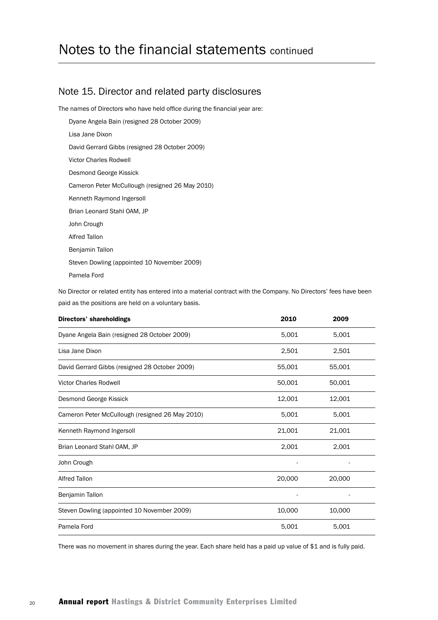### Note 15. Director and related party disclosures

The names of Directors who have held office during the financial year are:

Dyane Angela Bain (resigned 28 October 2009)

Lisa Jane Dixon

David Gerrard Gibbs (resigned 28 October 2009)

Victor Charles Rodwell

Desmond George Kissick

Cameron Peter McCullough (resigned 26 May 2010)

Kenneth Raymond Ingersoll

Brian Leonard Stahl OAM, JP

John Crough

Alfred Tallon

Benjamin Tallon

Steven Dowling (appointed 10 November 2009)

Pamela Ford

No Director or related entity has entered into a material contract with the Company. No Directors' fees have been paid as the positions are held on a voluntary basis.

| Directors' shareholdings                        | 2010   | 2009   |
|-------------------------------------------------|--------|--------|
| Dyane Angela Bain (resigned 28 October 2009)    | 5,001  | 5,001  |
| Lisa Jane Dixon                                 | 2,501  | 2,501  |
| David Gerrard Gibbs (resigned 28 October 2009)  | 55,001 | 55,001 |
| <b>Victor Charles Rodwell</b>                   | 50,001 | 50,001 |
| Desmond George Kissick                          | 12,001 | 12,001 |
| Cameron Peter McCullough (resigned 26 May 2010) | 5,001  | 5,001  |
| Kenneth Raymond Ingersoll                       | 21,001 | 21,001 |
| Brian Leonard Stahl OAM, JP                     | 2,001  | 2,001  |
| John Crough                                     |        |        |
| <b>Alfred Tallon</b>                            | 20,000 | 20,000 |
| Benjamin Tallon                                 |        |        |
| Steven Dowling (appointed 10 November 2009)     | 10,000 | 10,000 |
| Pamela Ford                                     | 5,001  | 5,001  |

There was no movement in shares during the year. Each share held has a paid up value of \$1 and is fully paid.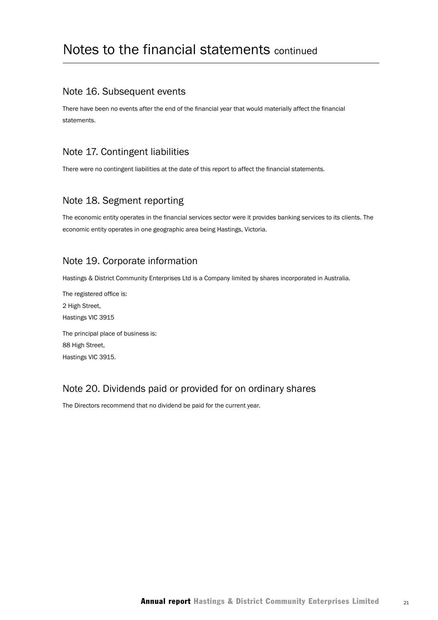### Note 16. Subsequent events

There have been no events after the end of the financial year that would materially affect the financial statements.

## Note 17. Contingent liabilities

There were no contingent liabilities at the date of this report to affect the financial statements.

### Note 18. Segment reporting

The economic entity operates in the financial services sector were it provides banking services to its clients. The economic entity operates in one geographic area being Hastings, Victoria.

## Note 19. Corporate information

Hastings & District Community Enterprises Ltd is a Company limited by shares incorporated in Australia.

The registered office is: 2 High Street, Hastings VIC 3915 The principal place of business is: 88 High Street, Hastings VIC 3915.

## Note 20. Dividends paid or provided for on ordinary shares

The Directors recommend that no dividend be paid for the current year.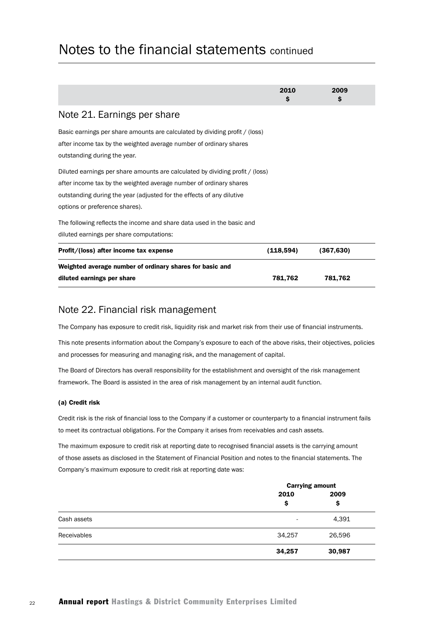|                                                                                                                                                                                                                                                                | 2010<br>\$ | 2009<br>\$ |
|----------------------------------------------------------------------------------------------------------------------------------------------------------------------------------------------------------------------------------------------------------------|------------|------------|
| Note 21. Earnings per share                                                                                                                                                                                                                                    |            |            |
| Basic earnings per share amounts are calculated by dividing profit / (loss)<br>after income tax by the weighted average number of ordinary shares<br>outstanding during the year.                                                                              |            |            |
| Diluted earnings per share amounts are calculated by dividing profit / (loss)<br>after income tax by the weighted average number of ordinary shares<br>outstanding during the year (adjusted for the effects of any dilutive<br>options or preference shares). |            |            |
| The following reflects the income and share data used in the basic and<br>diluted earnings per share computations:                                                                                                                                             |            |            |
| Profit/(loss) after income tax expense                                                                                                                                                                                                                         | (118,594)  | (367, 630) |
| Weighted average number of ordinary shares for basic and                                                                                                                                                                                                       |            |            |
| diluted earnings per share                                                                                                                                                                                                                                     | 781,762    | 781,762    |

### Note 22. Financial risk management

The Company has exposure to credit risk, liquidity risk and market risk from their use of financial instruments.

This note presents information about the Company's exposure to each of the above risks, their objectives, policies and processes for measuring and managing risk, and the management of capital.

The Board of Directors has overall responsibility for the establishment and oversight of the risk management framework. The Board is assisted in the area of risk management by an internal audit function.

#### (a) Credit risk

Credit risk is the risk of financial loss to the Company if a customer or counterparty to a financial instrument fails to meet its contractual obligations. For the Company it arises from receivables and cash assets.

The maximum exposure to credit risk at reporting date to recognised financial assets is the carrying amount of those assets as disclosed in the Statement of Financial Position and notes to the financial statements. The Company's maximum exposure to credit risk at reporting date was:

|                    |            | <b>Carrying amount</b> |
|--------------------|------------|------------------------|
|                    | 2010<br>\$ | 2009<br>\$             |
| Cash assets        | ۰          | 4,391                  |
| <b>Receivables</b> | 34,257     | 26,596                 |
|                    | 34,257     | 30,987                 |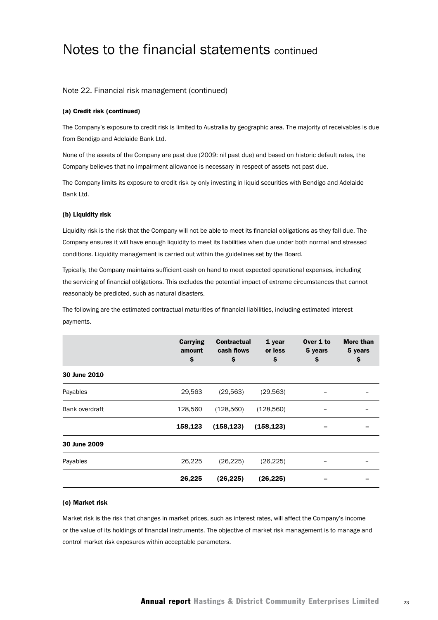#### Note 22. Financial risk management (continued)

#### (a) Credit risk (continued)

The Company's exposure to credit risk is limited to Australia by geographic area. The majority of receivables is due from Bendigo and Adelaide Bank Ltd.

None of the assets of the Company are past due (2009: nil past due) and based on historic default rates, the Company believes that no impairment allowance is necessary in respect of assets not past due.

The Company limits its exposure to credit risk by only investing in liquid securities with Bendigo and Adelaide Bank Ltd.

#### (b) Liquidity risk

Liquidity risk is the risk that the Company will not be able to meet its financial obligations as they fall due. The Company ensures it will have enough liquidity to meet its liabilities when due under both normal and stressed conditions. Liquidity management is carried out within the guidelines set by the Board.

Typically, the Company maintains sufficient cash on hand to meet expected operational expenses, including the servicing of financial obligations. This excludes the potential impact of extreme circumstances that cannot reasonably be predicted, such as natural disasters.

The following are the estimated contractual maturities of financial liabilities, including estimated interest payments.

|                       | <b>Carrying</b><br>amount<br>\$ | <b>Contractual</b><br>cash flows<br>\$ | 1 year<br>or less<br>\$ | Over 1 to<br>5 years<br>\$ | <b>More than</b><br>5 years<br>\$ |
|-----------------------|---------------------------------|----------------------------------------|-------------------------|----------------------------|-----------------------------------|
| 30 June 2010          |                                 |                                        |                         |                            |                                   |
| Payables              | 29,563                          | (29, 563)                              | (29, 563)               |                            |                                   |
| <b>Bank overdraft</b> | 128,560                         | (128, 560)                             | (128, 560)              |                            |                                   |
|                       | 158,123                         | (158, 123)                             | (158, 123)              |                            |                                   |
| 30 June 2009          |                                 |                                        |                         |                            |                                   |
| Payables              | 26,225                          | (26, 225)                              | (26, 225)               |                            |                                   |
|                       | 26,225                          | (26, 225)                              | (26,225)                |                            |                                   |

#### (c) Market risk

Market risk is the risk that changes in market prices, such as interest rates, will affect the Company's income or the value of its holdings of financial instruments. The objective of market risk management is to manage and control market risk exposures within acceptable parameters.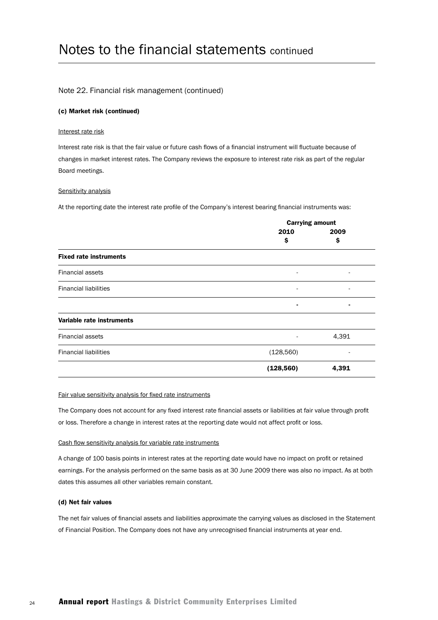#### Note 22. Financial risk management (continued)

#### (c) Market risk (continued)

#### Interest rate risk

Interest rate risk is that the fair value or future cash flows of a financial instrument will fluctuate because of changes in market interest rates. The Company reviews the exposure to interest rate risk as part of the regular Board meetings.

#### Sensitivity analysis

At the reporting date the interest rate profile of the Company's interest bearing financial instruments was:

|                               | <b>Carrying amount</b>   |       |  |
|-------------------------------|--------------------------|-------|--|
|                               | 2010                     | 2009  |  |
|                               | \$                       | \$    |  |
| <b>Fixed rate instruments</b> |                          |       |  |
| <b>Financial assets</b>       | $\overline{\phantom{a}}$ |       |  |
| <b>Financial liabilities</b>  | $\overline{\phantom{a}}$ |       |  |
|                               | ٠                        | ٠     |  |
| Variable rate instruments     |                          |       |  |
| <b>Financial assets</b>       |                          | 4,391 |  |
| <b>Financial liabilities</b>  | (128, 560)               |       |  |
|                               | (128, 560)               | 4,391 |  |

#### Fair value sensitivity analysis for fixed rate instruments

The Company does not account for any fixed interest rate financial assets or liabilities at fair value through profit or loss. Therefore a change in interest rates at the reporting date would not affect profit or loss.

#### Cash flow sensitivity analysis for variable rate instruments

A change of 100 basis points in interest rates at the reporting date would have no impact on profit or retained earnings. For the analysis performed on the same basis as at 30 June 2009 there was also no impact. As at both dates this assumes all other variables remain constant.

#### (d) Net fair values

The net fair values of financial assets and liabilities approximate the carrying values as disclosed in the Statement of Financial Position. The Company does not have any unrecognised financial instruments at year end.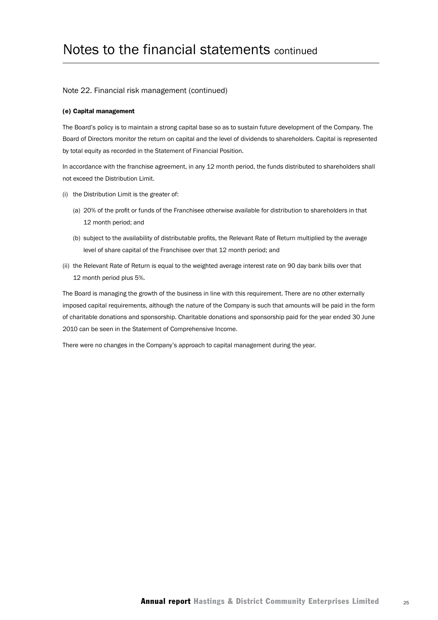#### Note 22. Financial risk management (continued)

#### (e) Capital management

The Board's policy is to maintain a strong capital base so as to sustain future development of the Company. The Board of Directors monitor the return on capital and the level of dividends to shareholders. Capital is represented by total equity as recorded in the Statement of Financial Position.

In accordance with the franchise agreement, in any 12 month period, the funds distributed to shareholders shall not exceed the Distribution Limit.

- (i) the Distribution Limit is the greater of:
	- (a) 20% of the profit or funds of the Franchisee otherwise available for distribution to shareholders in that 12 month period; and
	- (b) subject to the availability of distributable profits, the Relevant Rate of Return multiplied by the average level of share capital of the Franchisee over that 12 month period; and
- (ii) the Relevant Rate of Return is equal to the weighted average interest rate on 90 day bank bills over that 12 month period plus 5%.

The Board is managing the growth of the business in line with this requirement. There are no other externally imposed capital requirements, although the nature of the Company is such that amounts will be paid in the form of charitable donations and sponsorship. Charitable donations and sponsorship paid for the year ended 30 June 2010 can be seen in the Statement of Comprehensive Income.

There were no changes in the Company's approach to capital management during the year.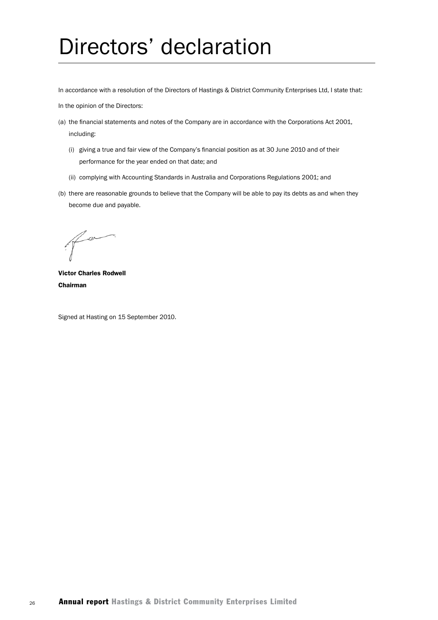# Directors' declaration

In accordance with a resolution of the Directors of Hastings & District Community Enterprises Ltd, I state that:

In the opinion of the Directors:

- (a) the financial statements and notes of the Company are in accordance with the Corporations Act 2001, including:
	- (i) giving a true and fair view of the Company's financial position as at 30 June 2010 and of their performance for the year ended on that date; and
	- (ii) complying with Accounting Standards in Australia and Corporations Regulations 2001; and
- (b) there are reasonable grounds to believe that the Company will be able to pay its debts as and when they become due and payable.

Victor Charles Rodwell Chairman

Signed at Hasting on 15 September 2010.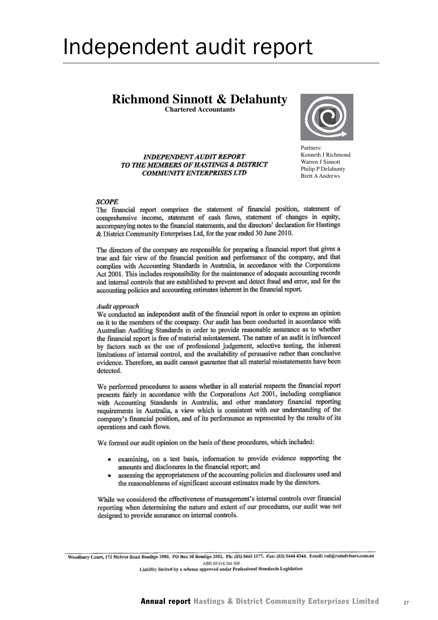# Independent audit report

# **Richmond Sinnott & Delahunty**

**Chartered Accountants**



**INDEPENDENT AUDIT REPORT** TO THE MEMBERS OF HASTINGS & DISTRICT **COMMUNITY ENTERPRISES LTD** 

Partners: Partners:<br>Kenneth J Richmond Warren J Sinnott Philip P Delahunty Emp P Belanding.<br>Brett A Andrews.

#### **SCOPE**

The financial report comprises the statement of financial position, statement of comprehensive income, statement of cash flows, statement of changes in equity, accompanying notes to the financial statements, and the directors' declaration for Hastings & District Community Enterprises Ltd, for the year ended 30 June 2010.

The directors of the company are responsible for preparing a financial report that gives a true and fair view of the financial position and performance of the company, and that complies with Accounting Standards in Australia, in accordance with the Corporations Act 2001. This includes responsibility for the maintenance of adequate accounting records and internal controls that are established to prevent and detect fraud and error, and for the accounting policies and accounting estimates inherent in the financial report.

#### Audit approach

We conducted an independent audit of the financial report in order to express an opinion on it to the members of the company. Our audit has been conducted in accordance with Australian Auditing Standards in order to provide reasonable assurance as to whether the financial report is free of material misstatement. The nature of an audit is influenced by factors such as the use of professional judgement, selective testing, the inherent limitations of internal control, and the availability of persuasive rather than conclusive evidence. Therefore, an audit cannot guarantee that all material misstatements have been detected.

We performed procedures to assess whether in all material respects the financial report presents fairly in accordance with the Corporations Act 2001, including compliance with Accounting Standards in Australia, and other mandatory financial reporting requirements in Australia, a view which is consistent with our understanding of the company's financial position, and of its performance as represented by the results of its operations and cash flows.

We formed our audit opinion on the basis of these procedures, which included:

- examining, on a test basis, information to provide evidence supporting the amounts and disclosures in the financial report; and
- assessing the appropriateness of the accounting policies and disclosures used and  $\bullet$ the reasonableness of significant account estimates made by the directors.

While we considered the effectiveness of management's internal controls over financial reporting when determining the nature and extent of our procedures, our audit was not designed to provide assurance on internal controls.

Woodbury Court, 172 Melvor Road Bendigo 3550. PO Box 30 Bendigo 3552. Ph: (03) 5443 1177. Fax: (03) 5444 4344. Email: rsd@rsdadvisors.com.au ABN 60 616 244 309 Liability limited by a scheme approved under Professional Standards Legislation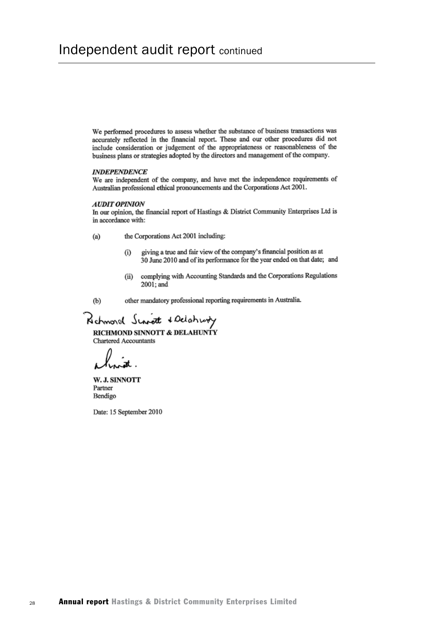We performed procedures to assess whether the substance of business transactions was accurately reflected in the financial report. These and our other procedures did not include consideration or judgement of the appropriateness or reasonableness of the business plans or strategies adopted by the directors and management of the company.

#### **INDEPENDENCE**

We are independent of the company, and have met the independence requirements of Australian professional ethical pronouncements and the Corporations Act 2001.

#### **AUDIT OPINION**

In our opinion, the financial report of Hastings & District Community Enterprises Ltd is in accordance with:

- $(a)$ the Corporations Act 2001 including:
	- giving a true and fair view of the company's financial position as at  $(i)$ 30 June 2010 and of its performance for the year ended on that date; and
	- complying with Accounting Standards and the Corporations Regulations  $(ii)$ 2001; and
- $(b)$ other mandatory professional reporting requirements in Australia.

Rehmond Singt & Delahurty RICHMOND SINNOTT & DELAHUNTY **Chartered Accountants** 

W. J. SINNOTT Partner Bendigo

Date: 15 September 2010